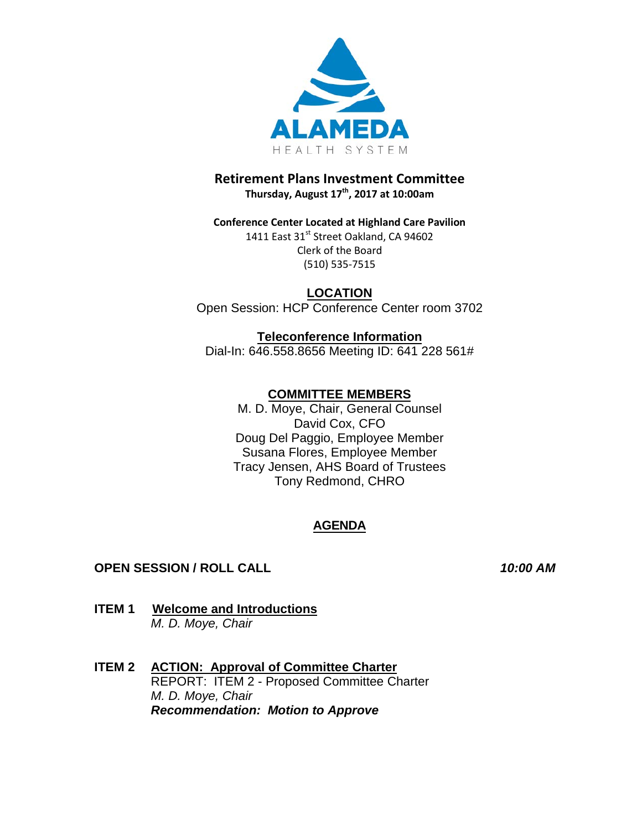

## **Retirement Plans Investment Committee Thursday, August 17 th , 2017 at 10:00am**

**Conference Center Located at Highland Care Pavilion** 1411 East 31<sup>st</sup> Street Oakland, CA 94602 Clerk of the Board (510) 535-7515

**LOCATION** Open Session: HCP Conference Center room 3702

**Teleconference Information** Dial-In: 646.558.8656 Meeting ID: 641 228 561#

# **COMMITTEE MEMBERS**

M. D. Moye, Chair, General Counsel David Cox, CFO Doug Del Paggio, Employee Member Susana Flores, Employee Member Tracy Jensen, AHS Board of Trustees Tony Redmond, CHRO

# **AGENDA**

## **OPEN SESSION / ROLL CALL** *10:00 AM*

- **ITEM 1 Welcome and Introductions**  *M. D. Moye, Chair*
- **ITEM 2 ACTION: Approval of Committee Charter** REPORT: ITEM 2 - Proposed Committee Charter *M. D. Moye, Chair Recommendation: Motion to Approve*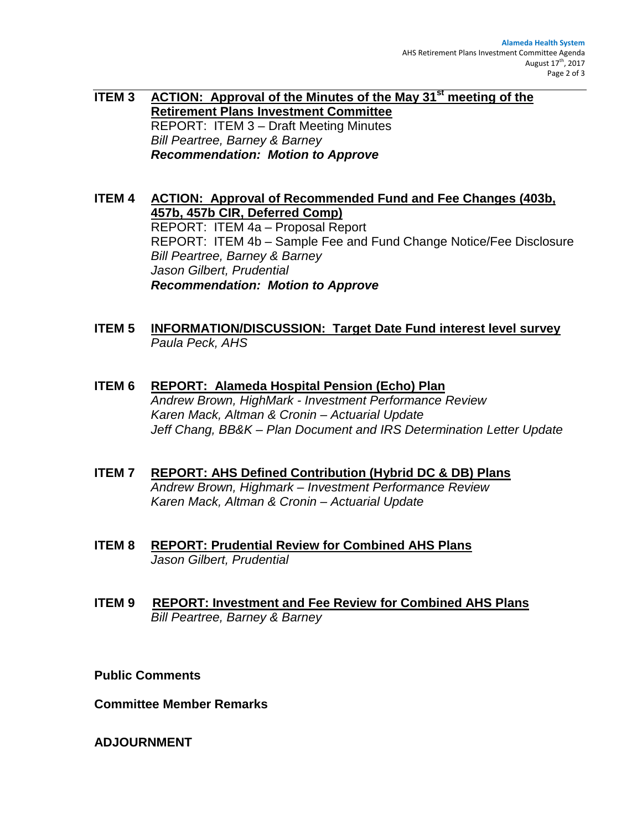**ITEM 3 ACTION: Approval of the Minutes of the May 31st meeting of the Retirement Plans Investment Committee**  REPORT: ITEM 3 – Draft Meeting Minutes *Bill Peartree, Barney & Barney Recommendation: Motion to Approve*

**ITEM 4 ACTION: Approval of Recommended Fund and Fee Changes (403b, 457b, 457b CIR, Deferred Comp)** REPORT: ITEM 4a – Proposal Report REPORT: ITEM 4b – Sample Fee and Fund Change Notice/Fee Disclosure *Bill Peartree, Barney & Barney Jason Gilbert, Prudential Recommendation: Motion to Approve*

- **ITEM 5 INFORMATION/DISCUSSION: Target Date Fund interest level survey** *Paula Peck, AHS*
- **ITEM 6 REPORT: Alameda Hospital Pension (Echo) Plan** *Andrew Brown, HighMark - Investment Performance Review Karen Mack, Altman & Cronin – Actuarial Update Jeff Chang, BB&K – Plan Document and IRS Determination Letter Update*
- **ITEM 7 REPORT: AHS Defined Contribution (Hybrid DC & DB) Plans** *Andrew Brown, Highmark – Investment Performance Review Karen Mack, Altman & Cronin – Actuarial Update*
- **ITEM 8 REPORT: Prudential Review for Combined AHS Plans** *Jason Gilbert, Prudential*
- **ITEM 9 REPORT: Investment and Fee Review for Combined AHS Plans**  *Bill Peartree, Barney & Barney*

**Public Comments** 

**Committee Member Remarks** 

**ADJOURNMENT**